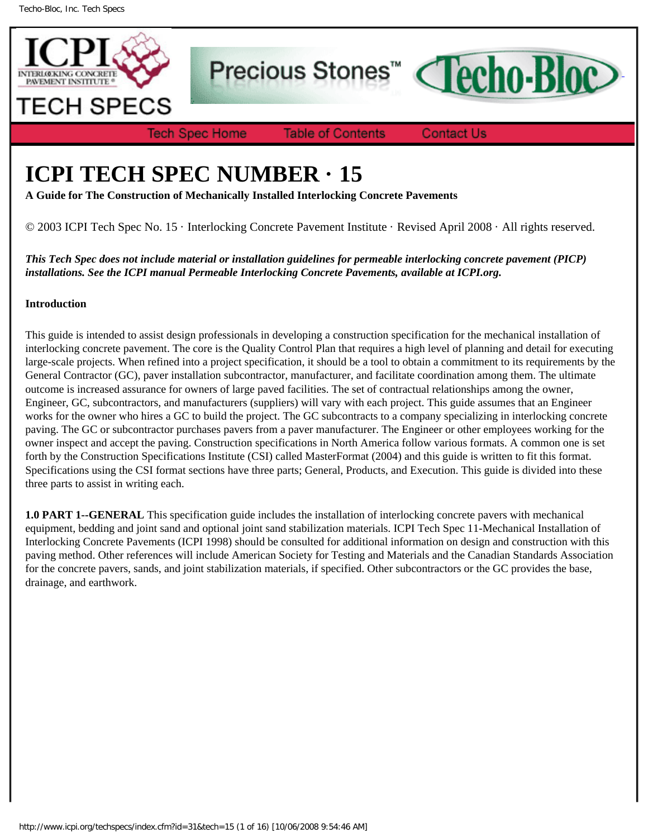

Precious Stones<sup>™</sup>



**Tech Spec Home** 

**Table of Contents** 

**Contact Us** 

# **ICPI TECH SPEC NUMBER · 15**

**A Guide for The Construction of Mechanically Installed Interlocking Concrete Pavements**

© 2003 ICPI Tech Spec No. 15 · Interlocking Concrete Pavement Institute · Revised April 2008 · All rights reserved.

*This Tech Spec does not include material or installation guidelines for permeable interlocking concrete pavement (PICP) installations. See the ICPI manual Permeable Interlocking Concrete Pavements, available at ICPI.org.*

# **Introduction**

This guide is intended to assist design professionals in developing a construction specification for the mechanical installation of interlocking concrete pavement. The core is the Quality Control Plan that requires a high level of planning and detail for executing large-scale projects. When refined into a project specification, it should be a tool to obtain a commitment to its requirements by the General Contractor (GC), paver installation subcontractor, manufacturer, and facilitate coordination among them. The ultimate outcome is increased assurance for owners of large paved facilities. The set of contractual relationships among the owner, Engineer, GC, subcontractors, and manufacturers (suppliers) will vary with each project. This guide assumes that an Engineer works for the owner who hires a GC to build the project. The GC subcontracts to a company specializing in interlocking concrete paving. The GC or subcontractor purchases pavers from a paver manufacturer. The Engineer or other employees working for the owner inspect and accept the paving. Construction specifications in North America follow various formats. A common one is set forth by the Construction Specifications Institute (CSI) called MasterFormat (2004) and this guide is written to fit this format. Specifications using the CSI format sections have three parts; General, Products, and Execution. This guide is divided into these three parts to assist in writing each.

**1.0 PART 1--GENERAL** This specification guide includes the installation of interlocking concrete pavers with mechanical equipment, bedding and joint sand and optional joint sand stabilization materials. ICPI Tech Spec 11-Mechanical Installation of Interlocking Concrete Pavements (ICPI 1998) should be consulted for additional information on design and construction with this paving method. Other references will include American Society for Testing and Materials and the Canadian Standards Association for the concrete pavers, sands, and joint stabilization materials, if specified. Other subcontractors or the GC provides the base, drainage, and earthwork.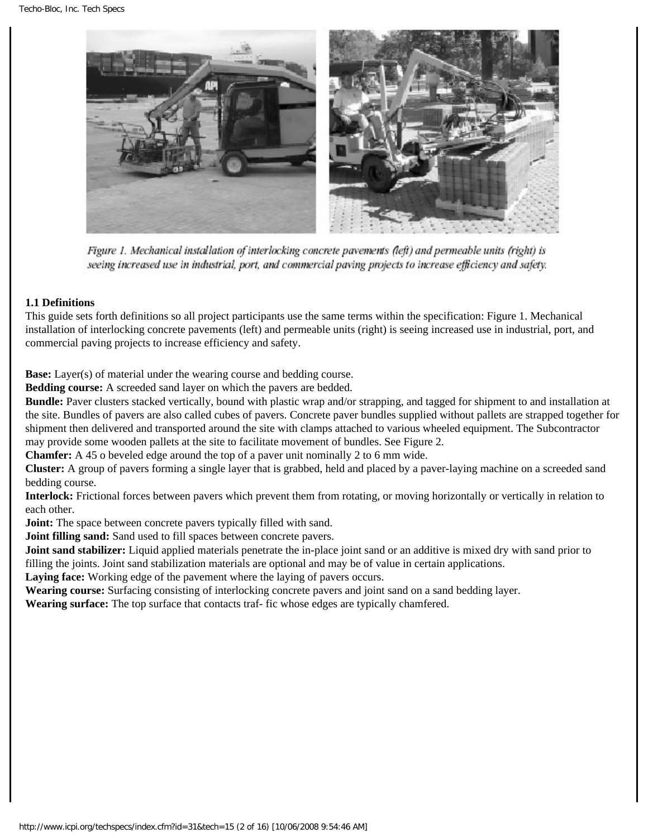

Figure 1. Mechanical installation of interlocking concrete pavements (left) and permeable units (right) is seeing increased use in industrial, port, and commercial paving projects to increase efficiency and safety.

#### **1.1 Definitions**

This guide sets forth definitions so all project participants use the same terms within the specification: Figure 1. Mechanical installation of interlocking concrete pavements (left) and permeable units (right) is seeing increased use in industrial, port, and commercial paving projects to increase efficiency and safety.

**Base:** Layer(s) of material under the wearing course and bedding course.

**Bedding course:** A screeded sand layer on which the pavers are bedded.

**Bundle:** Paver clusters stacked vertically, bound with plastic wrap and/or strapping, and tagged for shipment to and installation at the site. Bundles of pavers are also called cubes of pavers. Concrete paver bundles supplied without pallets are strapped together for shipment then delivered and transported around the site with clamps attached to various wheeled equipment. The Subcontractor may provide some wooden pallets at the site to facilitate movement of bundles. See Figure 2.

**Chamfer:** A 45 o beveled edge around the top of a paver unit nominally 2 to 6 mm wide.

**Cluster:** A group of pavers forming a single layer that is grabbed, held and placed by a paver-laying machine on a screeded sand bedding course.

**Interlock:** Frictional forces between pavers which prevent them from rotating, or moving horizontally or vertically in relation to each other.

**Joint:** The space between concrete pavers typically filled with sand.

**Joint filling sand:** Sand used to fill spaces between concrete pavers.

**Joint sand stabilizer:** Liquid applied materials penetrate the in-place joint sand or an additive is mixed dry with sand prior to filling the joints. Joint sand stabilization materials are optional and may be of value in certain applications.

**Laying face:** Working edge of the pavement where the laying of pavers occurs.

**Wearing course:** Surfacing consisting of interlocking concrete pavers and joint sand on a sand bedding layer. **Wearing surface:** The top surface that contacts traf- fic whose edges are typically chamfered.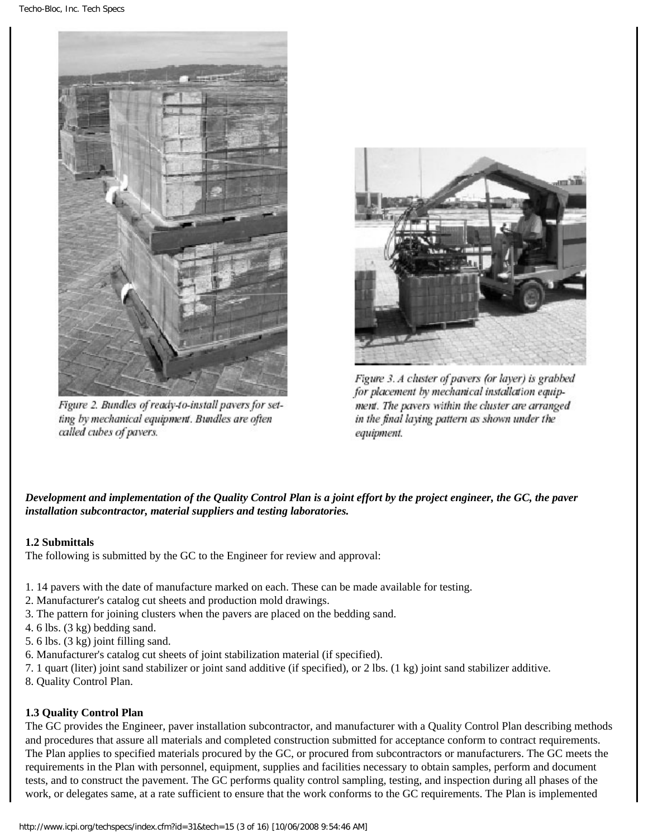

Figure 2. Bundles of ready-to-install pavers for setting by mechanical equipment. Bundles are often called cubes of pavers.



Figure 3. A cluster of pavers (or layer) is grabbed for placement by mechanical installation equipment. The pavers within the cluster are arranged in the final laying pattern as shown under the equipment.

# *Development and implementation of the Quality Control Plan is a joint effort by the project engineer, the GC, the paver installation subcontractor, material suppliers and testing laboratories.*

# **1.2 Submittals**

The following is submitted by the GC to the Engineer for review and approval:

- 1. 14 pavers with the date of manufacture marked on each. These can be made available for testing.
- 2. Manufacturer's catalog cut sheets and production mold drawings.
- 3. The pattern for joining clusters when the pavers are placed on the bedding sand.
- 4. 6 lbs. (3 kg) bedding sand.
- 5. 6 lbs. (3 kg) joint filling sand.
- 6. Manufacturer's catalog cut sheets of joint stabilization material (if specified).
- 7. 1 quart (liter) joint sand stabilizer or joint sand additive (if specified), or 2 lbs. (1 kg) joint sand stabilizer additive.
- 8. Quality Control Plan.

#### **1.3 Quality Control Plan**

The GC provides the Engineer, paver installation subcontractor, and manufacturer with a Quality Control Plan describing methods and procedures that assure all materials and completed construction submitted for acceptance conform to contract requirements. The Plan applies to specified materials procured by the GC, or procured from subcontractors or manufacturers. The GC meets the requirements in the Plan with personnel, equipment, supplies and facilities necessary to obtain samples, perform and document tests, and to construct the pavement. The GC performs quality control sampling, testing, and inspection during all phases of the work, or delegates same, at a rate sufficient to ensure that the work conforms to the GC requirements. The Plan is implemented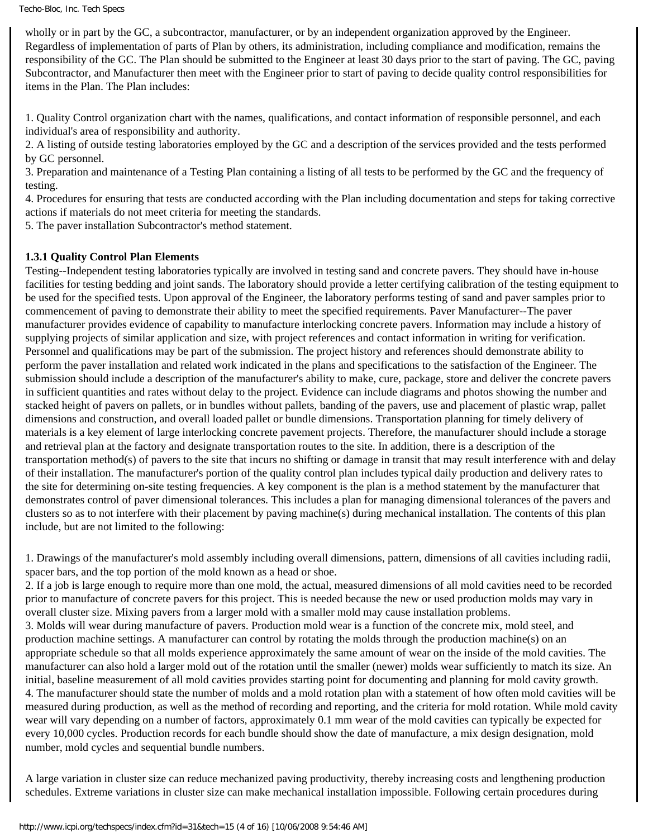wholly or in part by the GC, a subcontractor, manufacturer, or by an independent organization approved by the Engineer. Regardless of implementation of parts of Plan by others, its administration, including compliance and modification, remains the responsibility of the GC. The Plan should be submitted to the Engineer at least 30 days prior to the start of paving. The GC, paving Subcontractor, and Manufacturer then meet with the Engineer prior to start of paving to decide quality control responsibilities for items in the Plan. The Plan includes:

1. Quality Control organization chart with the names, qualifications, and contact information of responsible personnel, and each individual's area of responsibility and authority.

2. A listing of outside testing laboratories employed by the GC and a description of the services provided and the tests performed by GC personnel.

3. Preparation and maintenance of a Testing Plan containing a listing of all tests to be performed by the GC and the frequency of testing.

4. Procedures for ensuring that tests are conducted according with the Plan including documentation and steps for taking corrective actions if materials do not meet criteria for meeting the standards.

5. The paver installation Subcontractor's method statement.

#### **1.3.1 Quality Control Plan Elements**

Testing--Independent testing laboratories typically are involved in testing sand and concrete pavers. They should have in-house facilities for testing bedding and joint sands. The laboratory should provide a letter certifying calibration of the testing equipment to be used for the specified tests. Upon approval of the Engineer, the laboratory performs testing of sand and paver samples prior to commencement of paving to demonstrate their ability to meet the specified requirements. Paver Manufacturer--The paver manufacturer provides evidence of capability to manufacture interlocking concrete pavers. Information may include a history of supplying projects of similar application and size, with project references and contact information in writing for verification. Personnel and qualifications may be part of the submission. The project history and references should demonstrate ability to perform the paver installation and related work indicated in the plans and specifications to the satisfaction of the Engineer. The submission should include a description of the manufacturer's ability to make, cure, package, store and deliver the concrete pavers in sufficient quantities and rates without delay to the project. Evidence can include diagrams and photos showing the number and stacked height of pavers on pallets, or in bundles without pallets, banding of the pavers, use and placement of plastic wrap, pallet dimensions and construction, and overall loaded pallet or bundle dimensions. Transportation planning for timely delivery of materials is a key element of large interlocking concrete pavement projects. Therefore, the manufacturer should include a storage and retrieval plan at the factory and designate transportation routes to the site. In addition, there is a description of the transportation method(s) of pavers to the site that incurs no shifting or damage in transit that may result interference with and delay of their installation. The manufacturer's portion of the quality control plan includes typical daily production and delivery rates to the site for determining on-site testing frequencies. A key component is the plan is a method statement by the manufacturer that demonstrates control of paver dimensional tolerances. This includes a plan for managing dimensional tolerances of the pavers and clusters so as to not interfere with their placement by paving machine(s) during mechanical installation. The contents of this plan include, but are not limited to the following:

1. Drawings of the manufacturer's mold assembly including overall dimensions, pattern, dimensions of all cavities including radii, spacer bars, and the top portion of the mold known as a head or shoe.

2. If a job is large enough to require more than one mold, the actual, measured dimensions of all mold cavities need to be recorded prior to manufacture of concrete pavers for this project. This is needed because the new or used production molds may vary in overall cluster size. Mixing pavers from a larger mold with a smaller mold may cause installation problems. 3. Molds will wear during manufacture of pavers. Production mold wear is a function of the concrete mix, mold steel, and production machine settings. A manufacturer can control by rotating the molds through the production machine(s) on an appropriate schedule so that all molds experience approximately the same amount of wear on the inside of the mold cavities. The

manufacturer can also hold a larger mold out of the rotation until the smaller (newer) molds wear sufficiently to match its size. An initial, baseline measurement of all mold cavities provides starting point for documenting and planning for mold cavity growth. 4. The manufacturer should state the number of molds and a mold rotation plan with a statement of how often mold cavities will be measured during production, as well as the method of recording and reporting, and the criteria for mold rotation. While mold cavity wear will vary depending on a number of factors, approximately 0.1 mm wear of the mold cavities can typically be expected for every 10,000 cycles. Production records for each bundle should show the date of manufacture, a mix design designation, mold number, mold cycles and sequential bundle numbers.

A large variation in cluster size can reduce mechanized paving productivity, thereby increasing costs and lengthening production schedules. Extreme variations in cluster size can make mechanical installation impossible. Following certain procedures during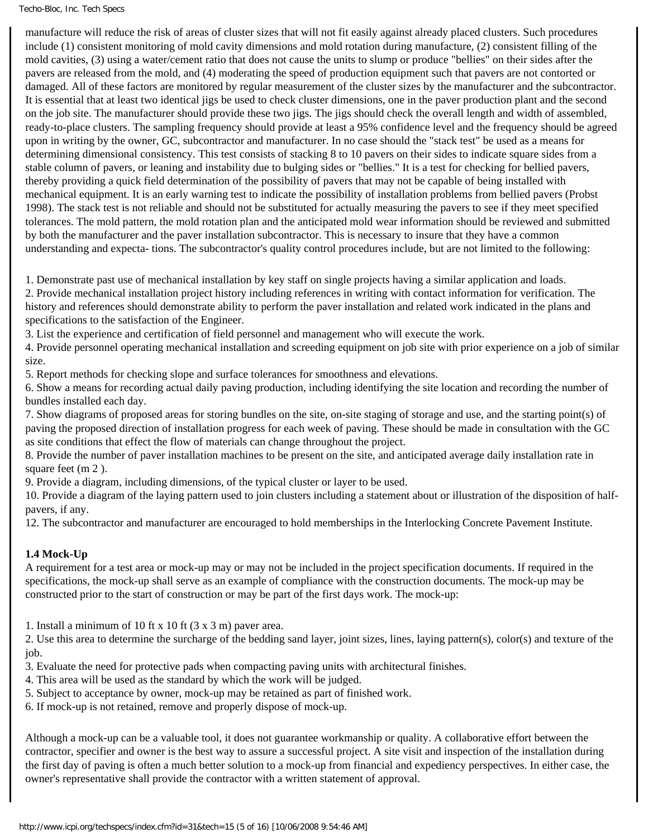#### Techo-Bloc, Inc. Tech Specs

manufacture will reduce the risk of areas of cluster sizes that will not fit easily against already placed clusters. Such procedures include (1) consistent monitoring of mold cavity dimensions and mold rotation during manufacture, (2) consistent filling of the mold cavities, (3) using a water/cement ratio that does not cause the units to slump or produce "bellies" on their sides after the pavers are released from the mold, and (4) moderating the speed of production equipment such that pavers are not contorted or damaged. All of these factors are monitored by regular measurement of the cluster sizes by the manufacturer and the subcontractor. It is essential that at least two identical jigs be used to check cluster dimensions, one in the paver production plant and the second on the job site. The manufacturer should provide these two jigs. The jigs should check the overall length and width of assembled, ready-to-place clusters. The sampling frequency should provide at least a 95% confidence level and the frequency should be agreed upon in writing by the owner, GC, subcontractor and manufacturer. In no case should the "stack test" be used as a means for determining dimensional consistency. This test consists of stacking 8 to 10 pavers on their sides to indicate square sides from a stable column of pavers, or leaning and instability due to bulging sides or "bellies." It is a test for checking for bellied pavers, thereby providing a quick field determination of the possibility of pavers that may not be capable of being installed with mechanical equipment. It is an early warning test to indicate the possibility of installation problems from bellied pavers (Probst 1998). The stack test is not reliable and should not be substituted for actually measuring the pavers to see if they meet specified tolerances. The mold pattern, the mold rotation plan and the anticipated mold wear information should be reviewed and submitted by both the manufacturer and the paver installation subcontractor. This is necessary to insure that they have a common understanding and expecta- tions. The subcontractor's quality control procedures include, but are not limited to the following:

1. Demonstrate past use of mechanical installation by key staff on single projects having a similar application and loads.

2. Provide mechanical installation project history including references in writing with contact information for verification. The history and references should demonstrate ability to perform the paver installation and related work indicated in the plans and specifications to the satisfaction of the Engineer.

3. List the experience and certification of field personnel and management who will execute the work.

4. Provide personnel operating mechanical installation and screeding equipment on job site with prior experience on a job of similar size.

5. Report methods for checking slope and surface tolerances for smoothness and elevations.

6. Show a means for recording actual daily paving production, including identifying the site location and recording the number of bundles installed each day.

7. Show diagrams of proposed areas for storing bundles on the site, on-site staging of storage and use, and the starting point(s) of paving the proposed direction of installation progress for each week of paving. These should be made in consultation with the GC as site conditions that effect the flow of materials can change throughout the project.

8. Provide the number of paver installation machines to be present on the site, and anticipated average daily installation rate in square feet (m 2 ).

9. Provide a diagram, including dimensions, of the typical cluster or layer to be used.

10. Provide a diagram of the laying pattern used to join clusters including a statement about or illustration of the disposition of halfpavers, if any.

12. The subcontractor and manufacturer are encouraged to hold memberships in the Interlocking Concrete Pavement Institute.

#### **1.4 Mock-Up**

A requirement for a test area or mock-up may or may not be included in the project specification documents. If required in the specifications, the mock-up shall serve as an example of compliance with the construction documents. The mock-up may be constructed prior to the start of construction or may be part of the first days work. The mock-up:

1. Install a minimum of 10 ft x 10 ft (3 x 3 m) paver area.

2. Use this area to determine the surcharge of the bedding sand layer, joint sizes, lines, laying pattern(s), color(s) and texture of the job.

3. Evaluate the need for protective pads when compacting paving units with architectural finishes.

- 4. This area will be used as the standard by which the work will be judged.
- 5. Subject to acceptance by owner, mock-up may be retained as part of finished work.

6. If mock-up is not retained, remove and properly dispose of mock-up.

Although a mock-up can be a valuable tool, it does not guarantee workmanship or quality. A collaborative effort between the contractor, specifier and owner is the best way to assure a successful project. A site visit and inspection of the installation during the first day of paving is often a much better solution to a mock-up from financial and expediency perspectives. In either case, the owner's representative shall provide the contractor with a written statement of approval.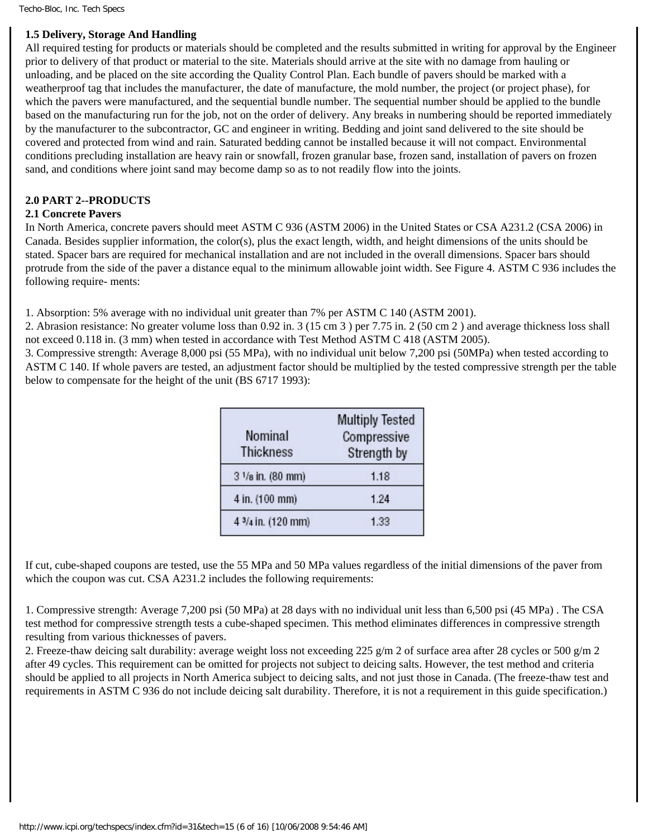#### **1.5 Delivery, Storage And Handling**

All required testing for products or materials should be completed and the results submitted in writing for approval by the Engineer prior to delivery of that product or material to the site. Materials should arrive at the site with no damage from hauling or unloading, and be placed on the site according the Quality Control Plan. Each bundle of pavers should be marked with a weatherproof tag that includes the manufacturer, the date of manufacture, the mold number, the project (or project phase), for which the pavers were manufactured, and the sequential bundle number. The sequential number should be applied to the bundle based on the manufacturing run for the job, not on the order of delivery. Any breaks in numbering should be reported immediately by the manufacturer to the subcontractor, GC and engineer in writing. Bedding and joint sand delivered to the site should be covered and protected from wind and rain. Saturated bedding cannot be installed because it will not compact. Environmental conditions precluding installation are heavy rain or snowfall, frozen granular base, frozen sand, installation of pavers on frozen sand, and conditions where joint sand may become damp so as to not readily flow into the joints.

#### **2.0 PART 2--PRODUCTS**

#### **2.1 Concrete Pavers**

In North America, concrete pavers should meet ASTM C 936 (ASTM 2006) in the United States or CSA A231.2 (CSA 2006) in Canada. Besides supplier information, the color(s), plus the exact length, width, and height dimensions of the units should be stated. Spacer bars are required for mechanical installation and are not included in the overall dimensions. Spacer bars should protrude from the side of the paver a distance equal to the minimum allowable joint width. See Figure 4. ASTM C 936 includes the following require- ments:

1. Absorption: 5% average with no individual unit greater than 7% per ASTM C 140 (ASTM 2001).

2. Abrasion resistance: No greater volume loss than 0.92 in. 3 (15 cm 3 ) per 7.75 in. 2 (50 cm 2 ) and average thickness loss shall not exceed 0.118 in. (3 mm) when tested in accordance with Test Method ASTM C 418 (ASTM 2005).

3. Compressive strength: Average 8,000 psi (55 MPa), with no individual unit below 7,200 psi (50MPa) when tested according to ASTM C 140. If whole pavers are tested, an adjustment factor should be multiplied by the tested compressive strength per the table below to compensate for the height of the unit (BS 6717 1993):

| Nominal            | <b>Multiply Tested</b><br>Compressive |
|--------------------|---------------------------------------|
| <b>Thickness</b>   | Strength by                           |
| 3 1/8 in. (80 mm)  | 1.18                                  |
| 4 in. (100 mm)     | 1.24                                  |
| 4 3/4 in. (120 mm) | 1.33                                  |

If cut, cube-shaped coupons are tested, use the 55 MPa and 50 MPa values regardless of the initial dimensions of the paver from which the coupon was cut. CSA A231.2 includes the following requirements:

1. Compressive strength: Average 7,200 psi (50 MPa) at 28 days with no individual unit less than 6,500 psi (45 MPa) . The CSA test method for compressive strength tests a cube-shaped specimen. This method eliminates differences in compressive strength resulting from various thicknesses of pavers.

2. Freeze-thaw deicing salt durability: average weight loss not exceeding 225 g/m 2 of surface area after 28 cycles or 500 g/m 2 after 49 cycles. This requirement can be omitted for projects not subject to deicing salts. However, the test method and criteria should be applied to all projects in North America subject to deicing salts, and not just those in Canada. (The freeze-thaw test and requirements in ASTM C 936 do not include deicing salt durability. Therefore, it is not a requirement in this guide specification.)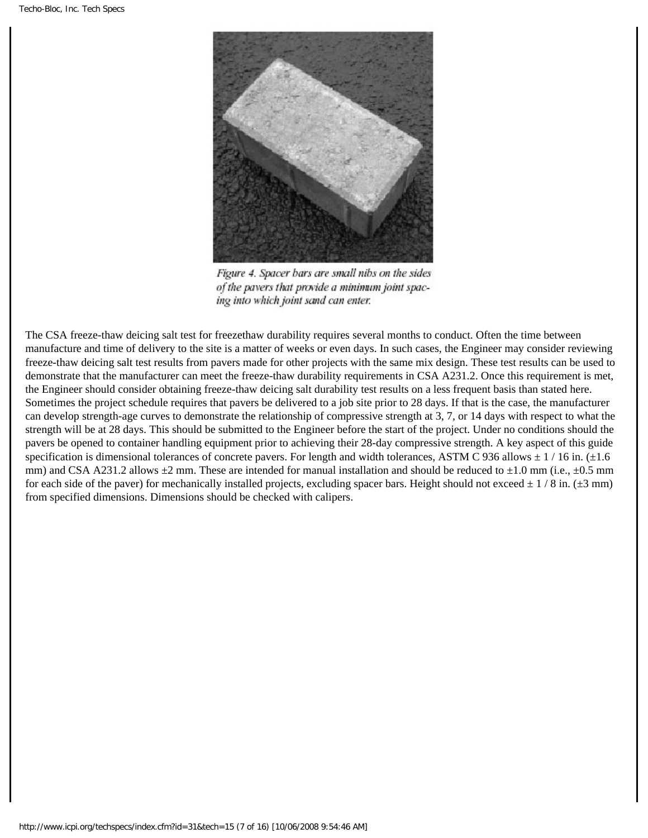

Figure 4. Spacer bars are small nibs on the sides of the pavers that provide a minimum joint spacing into which joint sand can enter.

The CSA freeze-thaw deicing salt test for freezethaw durability requires several months to conduct. Often the time between manufacture and time of delivery to the site is a matter of weeks or even days. In such cases, the Engineer may consider reviewing freeze-thaw deicing salt test results from pavers made for other projects with the same mix design. These test results can be used to demonstrate that the manufacturer can meet the freeze-thaw durability requirements in CSA A231.2. Once this requirement is met, the Engineer should consider obtaining freeze-thaw deicing salt durability test results on a less frequent basis than stated here. Sometimes the project schedule requires that pavers be delivered to a job site prior to 28 days. If that is the case, the manufacturer can develop strength-age curves to demonstrate the relationship of compressive strength at 3, 7, or 14 days with respect to what the strength will be at 28 days. This should be submitted to the Engineer before the start of the project. Under no conditions should the pavers be opened to container handling equipment prior to achieving their 28-day compressive strength. A key aspect of this guide specification is dimensional tolerances of concrete pavers. For length and width tolerances, ASTM C 936 allows  $\pm$  1/16 in. ( $\pm$ 1.6 mm) and CSA A231.2 allows  $\pm 2$  mm. These are intended for manual installation and should be reduced to  $\pm 1.0$  mm (i.e.,  $\pm 0.5$  mm for each side of the paver) for mechanically installed projects, excluding spacer bars. Height should not exceed  $\pm$  1/8 in. ( $\pm$ 3 mm) from specified dimensions. Dimensions should be checked with calipers.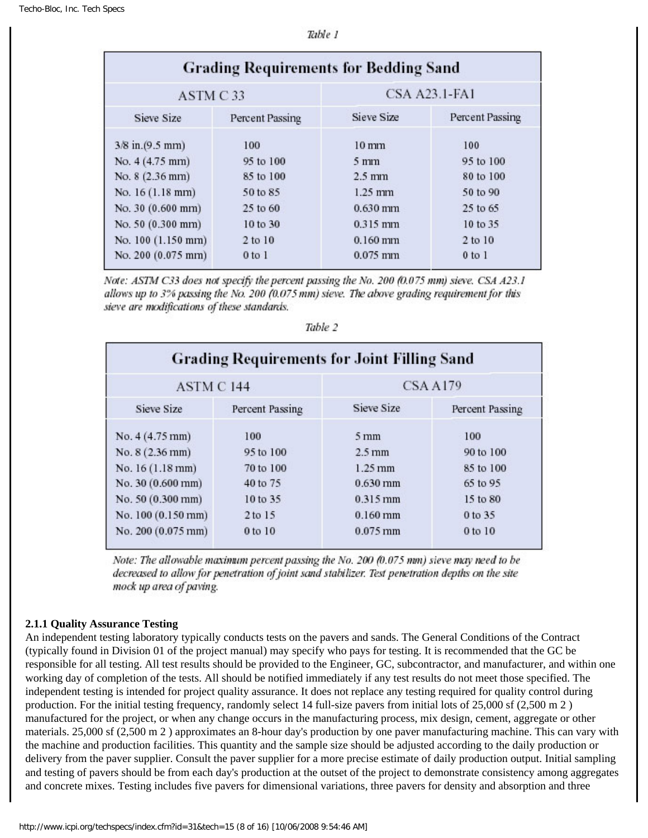| <b>Grading Requirements for Bedding Sand</b> |                 |                      |                 |  |
|----------------------------------------------|-----------------|----------------------|-----------------|--|
| ASTM C33                                     |                 | <b>CSA A23.1-FA1</b> |                 |  |
| Sieve Size                                   | Percent Passing | Sieve Size           | Percent Passing |  |
| 3/8 in.(9.5 mm)                              | 100             | $10 \,\mathrm{mm}$   | 100             |  |
| No. 4 (4.75 mm)                              | 95 to 100       | $5 \,\mathrm{mm}$    | 95 to 100       |  |
| No. 8 (2.36 mm)                              | 85 to 100       | $2.5 \text{ mm}$     | 80 to 100       |  |
| No. 16 (1.18 mm)                             | 50 to 85        | $1.25$ mm            | 50 to 90        |  |
| No. 30 (0.600 mm)                            | 25 to 60        | $0.630$ mm           | 25 to 65        |  |
| No. 50 (0.300 mm)                            | 10 to 30        | $0.315$ mm           | 10 to 35        |  |
| No. 100 (1.150 mm)                           | $2$ to $10$     | $0.160$ mm           | 2 to 10         |  |
| No. 200 (0.075 mm)                           | $0$ to $1$      | $0.075$ mm           | $0$ to $1$      |  |

Note: ASTM C33 does not specify the percent passing the No. 200 (0.075 mm) sieve. CSA A23.1 allows up to 3% passing the No. 200 (0.075 mm) sieve. The above grading requirement for this sieve are modifications of these standards.

| <b>Grading Requirements for Joint Filling Sand</b> |                 |                       |                 |  |
|----------------------------------------------------|-----------------|-----------------------|-----------------|--|
| ASTM C 144                                         |                 | CSA A179              |                 |  |
| Sieve Size                                         | Percent Passing | Sieve Size            | Percent Passing |  |
| No. $4(4.75 \text{ mm})$                           | 100             | $5 \,\mathrm{mm}$     | 100             |  |
| No. $8(2.36 \text{ mm})$                           | 95 to 100       | $2.5 \,\mathrm{mm}$   | 90 to 100       |  |
| No. 16 (1.18 mm)                                   | 70 to 100       | $1.25 \,\mathrm{mm}$  | 85 to 100       |  |
| No. 30 (0.600 mm)                                  | 40 to 75        | $0.630$ mm            | 65 to 95        |  |
| No. 50 (0.300 mm)                                  | 10 to 35        | 0.315 mm              | 15 to 80        |  |
| No. 100 (0.150 mm)                                 | 2 to 15         | $0.160$ mm            | 0 to 35         |  |
| No. 200 (0.075 mm)                                 | 0 to 10         | $0.075 \,\mathrm{mm}$ | 0 to 10         |  |

Table 2

Note: The allowable maximum percent passing the No. 200 (0.075 mm) sieve may need to be decreased to allow for penetration of joint sand stabilizer. Test penetration depths on the site mock up area of paving.

#### **2.1.1 Quality Assurance Testing**

An independent testing laboratory typically conducts tests on the pavers and sands. The General Conditions of the Contract (typically found in Division 01 of the project manual) may specify who pays for testing. It is recommended that the GC be responsible for all testing. All test results should be provided to the Engineer, GC, subcontractor, and manufacturer, and within one working day of completion of the tests. All should be notified immediately if any test results do not meet those specified. The independent testing is intended for project quality assurance. It does not replace any testing required for quality control during production. For the initial testing frequency, randomly select 14 full-size pavers from initial lots of 25,000 sf (2,500 m 2 ) manufactured for the project, or when any change occurs in the manufacturing process, mix design, cement, aggregate or other materials. 25,000 sf (2,500 m 2 ) approximates an 8-hour day's production by one paver manufacturing machine. This can vary with the machine and production facilities. This quantity and the sample size should be adjusted according to the daily production or delivery from the paver supplier. Consult the paver supplier for a more precise estimate of daily production output. Initial sampling and testing of pavers should be from each day's production at the outset of the project to demonstrate consistency among aggregates and concrete mixes. Testing includes five pavers for dimensional variations, three pavers for density and absorption and three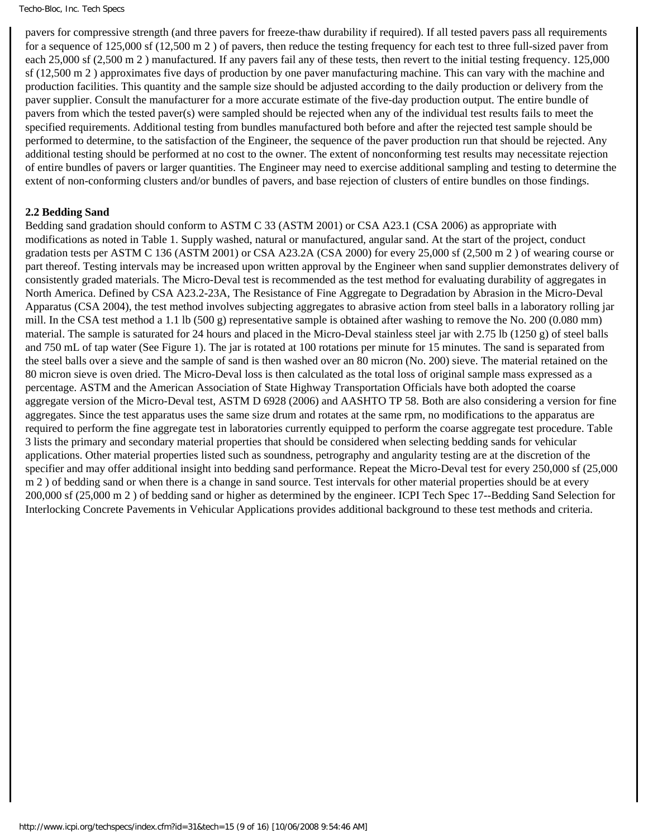pavers for compressive strength (and three pavers for freeze-thaw durability if required). If all tested pavers pass all requirements for a sequence of 125,000 sf (12,500 m 2 ) of pavers, then reduce the testing frequency for each test to three full-sized paver from each 25,000 sf (2,500 m 2 ) manufactured. If any pavers fail any of these tests, then revert to the initial testing frequency. 125,000 sf (12,500 m 2 ) approximates five days of production by one paver manufacturing machine. This can vary with the machine and production facilities. This quantity and the sample size should be adjusted according to the daily production or delivery from the paver supplier. Consult the manufacturer for a more accurate estimate of the five-day production output. The entire bundle of pavers from which the tested paver(s) were sampled should be rejected when any of the individual test results fails to meet the specified requirements. Additional testing from bundles manufactured both before and after the rejected test sample should be performed to determine, to the satisfaction of the Engineer, the sequence of the paver production run that should be rejected. Any additional testing should be performed at no cost to the owner. The extent of nonconforming test results may necessitate rejection of entire bundles of pavers or larger quantities. The Engineer may need to exercise additional sampling and testing to determine the extent of non-conforming clusters and/or bundles of pavers, and base rejection of clusters of entire bundles on those findings.

### **2.2 Bedding Sand**

Bedding sand gradation should conform to ASTM C 33 (ASTM 2001) or CSA A23.1 (CSA 2006) as appropriate with modifications as noted in Table 1. Supply washed, natural or manufactured, angular sand. At the start of the project, conduct gradation tests per ASTM C 136 (ASTM 2001) or CSA A23.2A (CSA 2000) for every 25,000 sf (2,500 m 2 ) of wearing course or part thereof. Testing intervals may be increased upon written approval by the Engineer when sand supplier demonstrates delivery of consistently graded materials. The Micro-Deval test is recommended as the test method for evaluating durability of aggregates in North America. Defined by CSA A23.2-23A, The Resistance of Fine Aggregate to Degradation by Abrasion in the Micro-Deval Apparatus (CSA 2004), the test method involves subjecting aggregates to abrasive action from steel balls in a laboratory rolling jar mill. In the CSA test method a 1.1 lb (500 g) representative sample is obtained after washing to remove the No. 200 (0.080 mm) material. The sample is saturated for 24 hours and placed in the Micro-Deval stainless steel jar with 2.75 lb (1250 g) of steel balls and 750 mL of tap water (See Figure 1). The jar is rotated at 100 rotations per minute for 15 minutes. The sand is separated from the steel balls over a sieve and the sample of sand is then washed over an 80 micron (No. 200) sieve. The material retained on the 80 micron sieve is oven dried. The Micro-Deval loss is then calculated as the total loss of original sample mass expressed as a percentage. ASTM and the American Association of State Highway Transportation Officials have both adopted the coarse aggregate version of the Micro-Deval test, ASTM D 6928 (2006) and AASHTO TP 58. Both are also considering a version for fine aggregates. Since the test apparatus uses the same size drum and rotates at the same rpm, no modifications to the apparatus are required to perform the fine aggregate test in laboratories currently equipped to perform the coarse aggregate test procedure. Table 3 lists the primary and secondary material properties that should be considered when selecting bedding sands for vehicular applications. Other material properties listed such as soundness, petrography and angularity testing are at the discretion of the specifier and may offer additional insight into bedding sand performance. Repeat the Micro-Deval test for every 250,000 sf (25,000 m 2) of bedding sand or when there is a change in sand source. Test intervals for other material properties should be at every 200,000 sf (25,000 m 2 ) of bedding sand or higher as determined by the engineer. ICPI Tech Spec 17--Bedding Sand Selection for Interlocking Concrete Pavements in Vehicular Applications provides additional background to these test methods and criteria.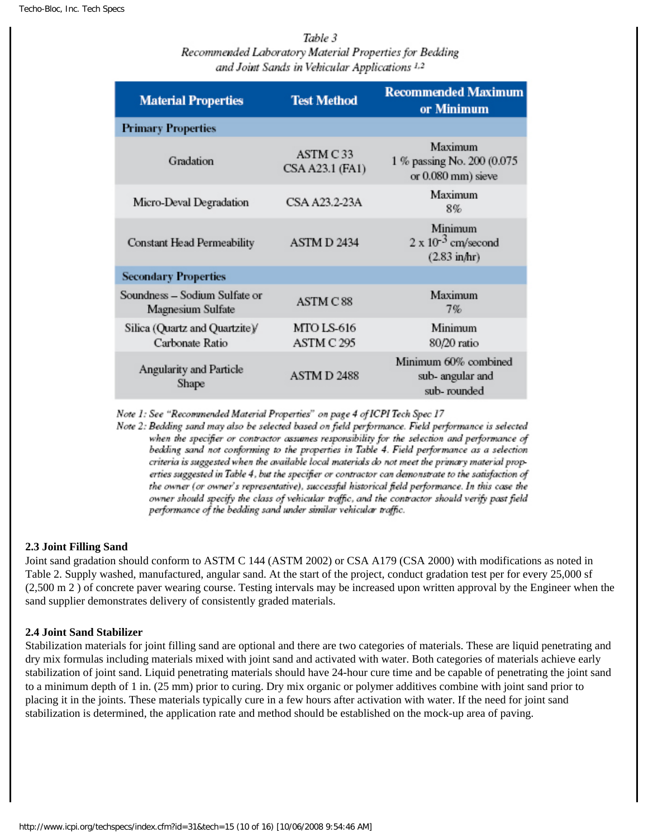Table 3 Recommended Laboratory Material Properties for Bedding and Joint Sands in Vehicular Applications 1,2

| <b>Material Properties</b>                         | <b>Test Method</b>              | <b>Recommended Maximum</b><br>or Minimum                          |
|----------------------------------------------------|---------------------------------|-------------------------------------------------------------------|
| <b>Primary Properties</b>                          |                                 |                                                                   |
| Gradation                                          | ASTM C 33<br>CSA A23.1 (FA1)    | Maximum<br>1 % passing No. 200 (0.075<br>or 0.080 mm) sieve       |
| Micro-Deval Degradation                            | CSA A23.2-23A                   | Maximum<br>8%                                                     |
| Constant Head Permeability                         | ASTM D 2434                     | Minimum<br>$2 \times 10^{-3}$ cm/second<br>$(2.83 \text{ in/hr})$ |
| <b>Secondary Properties</b>                        |                                 |                                                                   |
| Soundness – Sodium Sulfate or<br>Magnesium Sulfate | <b>ASTM C88</b>                 | Maximum<br>7%                                                     |
| Silica (Quartz and Quartzite)/<br>Carbonate Ratio  | <b>MTO LS-616</b><br>ASTM C 295 | Minimum<br>80/20 ratio                                            |
| Angularity and Particle<br>Shape                   | ASTMD 2488                      | Minimum 60% combined<br>sub- angular and<br>sub-rounded           |

Note 1: See "Recommended Material Properties" on page 4 of ICPI Tech Spec 17

Note 2: Bedding sand may also be selected based on field performance. Field performance is selected when the specifier or contractor assumes responsibility for the selection and performance of bedding sand not conforming to the properties in Table 4. Field performance as a selection criteria is suggested when the available local materials do not meet the primary material properties suggested in Table 4, but the specifier or contractor can demonstrate to the satisfaction of the owner (or owner's representative), successful historical field performance. In this case the owner should specify the class of vehicular traffic, and the contractor should verify past field performance of the bedding sand under similar vehicular traffic.

#### **2.3 Joint Filling Sand**

Joint sand gradation should conform to ASTM C 144 (ASTM 2002) or CSA A179 (CSA 2000) with modifications as noted in Table 2. Supply washed, manufactured, angular sand. At the start of the project, conduct gradation test per for every 25,000 sf (2,500 m 2 ) of concrete paver wearing course. Testing intervals may be increased upon written approval by the Engineer when the sand supplier demonstrates delivery of consistently graded materials.

#### **2.4 Joint Sand Stabilizer**

Stabilization materials for joint filling sand are optional and there are two categories of materials. These are liquid penetrating and dry mix formulas including materials mixed with joint sand and activated with water. Both categories of materials achieve early stabilization of joint sand. Liquid penetrating materials should have 24-hour cure time and be capable of penetrating the joint sand to a minimum depth of 1 in. (25 mm) prior to curing. Dry mix organic or polymer additives combine with joint sand prior to placing it in the joints. These materials typically cure in a few hours after activation with water. If the need for joint sand stabilization is determined, the application rate and method should be established on the mock-up area of paving.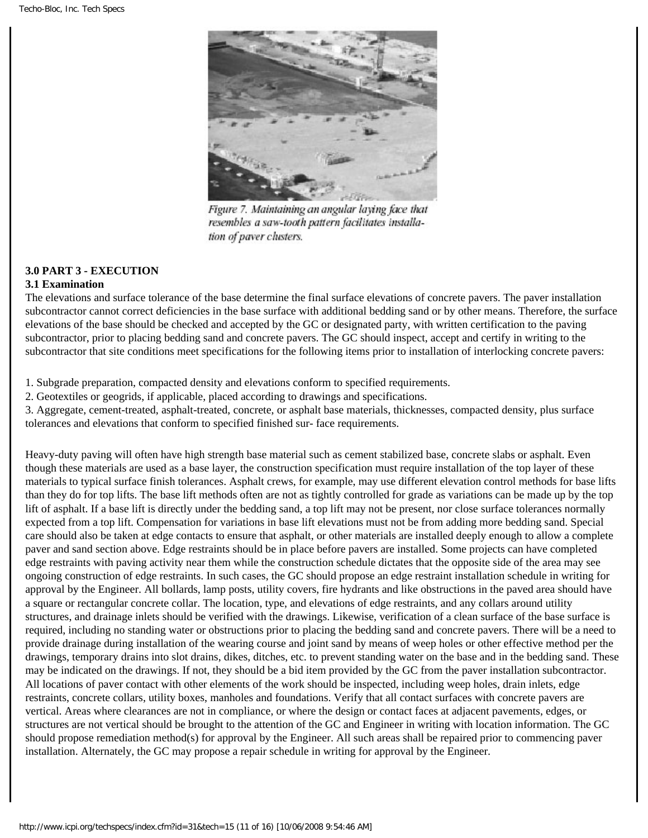

Figure 7. Maintaining an angular laying face that resembles a saw-tooth pattern facilitates installation of paver clusters.

# **3.0 PART 3 - EXECUTION**

#### **3.1 Examination**

The elevations and surface tolerance of the base determine the final surface elevations of concrete pavers. The paver installation subcontractor cannot correct deficiencies in the base surface with additional bedding sand or by other means. Therefore, the surface elevations of the base should be checked and accepted by the GC or designated party, with written certification to the paving subcontractor, prior to placing bedding sand and concrete pavers. The GC should inspect, accept and certify in writing to the subcontractor that site conditions meet specifications for the following items prior to installation of interlocking concrete pavers:

1. Subgrade preparation, compacted density and elevations conform to specified requirements.

2. Geotextiles or geogrids, if applicable, placed according to drawings and specifications.

3. Aggregate, cement-treated, asphalt-treated, concrete, or asphalt base materials, thicknesses, compacted density, plus surface tolerances and elevations that conform to specified finished sur- face requirements.

Heavy-duty paving will often have high strength base material such as cement stabilized base, concrete slabs or asphalt. Even though these materials are used as a base layer, the construction specification must require installation of the top layer of these materials to typical surface finish tolerances. Asphalt crews, for example, may use different elevation control methods for base lifts than they do for top lifts. The base lift methods often are not as tightly controlled for grade as variations can be made up by the top lift of asphalt. If a base lift is directly under the bedding sand, a top lift may not be present, nor close surface tolerances normally expected from a top lift. Compensation for variations in base lift elevations must not be from adding more bedding sand. Special care should also be taken at edge contacts to ensure that asphalt, or other materials are installed deeply enough to allow a complete paver and sand section above. Edge restraints should be in place before pavers are installed. Some projects can have completed edge restraints with paving activity near them while the construction schedule dictates that the opposite side of the area may see ongoing construction of edge restraints. In such cases, the GC should propose an edge restraint installation schedule in writing for approval by the Engineer. All bollards, lamp posts, utility covers, fire hydrants and like obstructions in the paved area should have a square or rectangular concrete collar. The location, type, and elevations of edge restraints, and any collars around utility structures, and drainage inlets should be verified with the drawings. Likewise, verification of a clean surface of the base surface is required, including no standing water or obstructions prior to placing the bedding sand and concrete pavers. There will be a need to provide drainage during installation of the wearing course and joint sand by means of weep holes or other effective method per the drawings, temporary drains into slot drains, dikes, ditches, etc. to prevent standing water on the base and in the bedding sand. These may be indicated on the drawings. If not, they should be a bid item provided by the GC from the paver installation subcontractor. All locations of paver contact with other elements of the work should be inspected, including weep holes, drain inlets, edge restraints, concrete collars, utility boxes, manholes and foundations. Verify that all contact surfaces with concrete pavers are vertical. Areas where clearances are not in compliance, or where the design or contact faces at adjacent pavements, edges, or structures are not vertical should be brought to the attention of the GC and Engineer in writing with location information. The GC should propose remediation method(s) for approval by the Engineer. All such areas shall be repaired prior to commencing paver installation. Alternately, the GC may propose a repair schedule in writing for approval by the Engineer.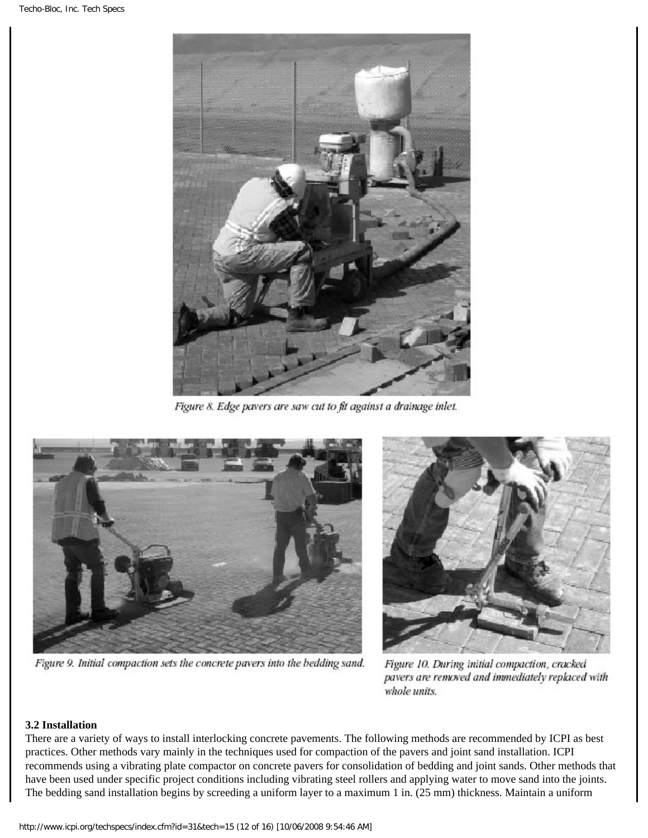

Figure 8. Edge pavers are saw cut to fit against a drainage inlet.



Figure 9. Initial compaction sets the concrete pavers into the bedding sand.



Figure 10. During initial compaction, cracked pavers are removed and immediately replaced with whole units.

#### **3.2 Installation**

There are a variety of ways to install interlocking concrete pavements. The following methods are recommended by ICPI as best practices. Other methods vary mainly in the techniques used for compaction of the pavers and joint sand installation. ICPI recommends using a vibrating plate compactor on concrete pavers for consolidation of bedding and joint sands. Other methods that have been used under specific project conditions including vibrating steel rollers and applying water to move sand into the joints. The bedding sand installation begins by screeding a uniform layer to a maximum 1 in. (25 mm) thickness. Maintain a uniform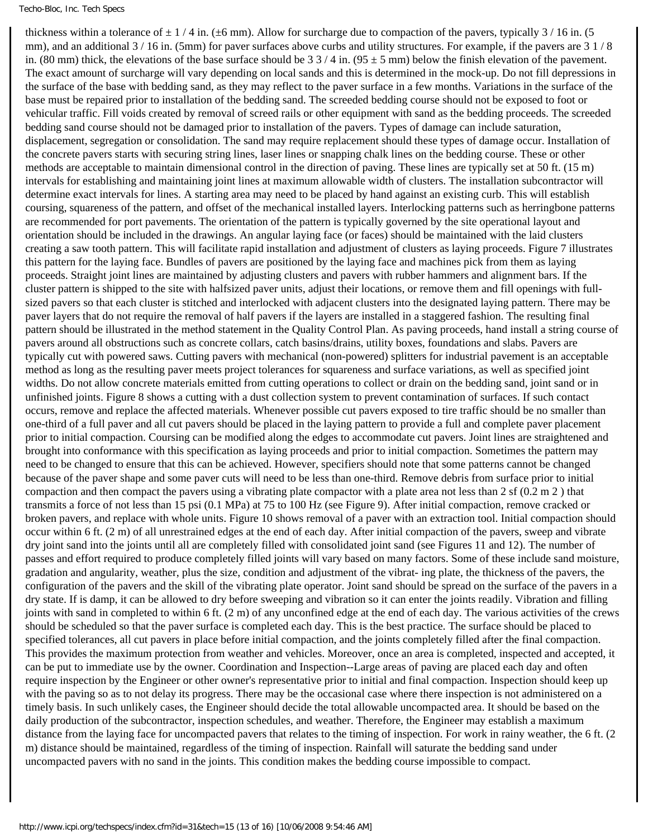thickness within a tolerance of  $\pm$  1/4 in. ( $\pm$ 6 mm). Allow for surcharge due to compaction of the pavers, typically 3/16 in. (5) mm), and an additional  $3/16$  in. (5mm) for paver surfaces above curbs and utility structures. For example, if the pavers are  $3/1/8$ in. (80 mm) thick, the elevations of the base surface should be  $33/4$  in. (95  $\pm$  5 mm) below the finish elevation of the pavement. The exact amount of surcharge will vary depending on local sands and this is determined in the mock-up. Do not fill depressions in the surface of the base with bedding sand, as they may reflect to the paver surface in a few months. Variations in the surface of the base must be repaired prior to installation of the bedding sand. The screeded bedding course should not be exposed to foot or vehicular traffic. Fill voids created by removal of screed rails or other equipment with sand as the bedding proceeds. The screeded bedding sand course should not be damaged prior to installation of the pavers. Types of damage can include saturation, displacement, segregation or consolidation. The sand may require replacement should these types of damage occur. Installation of the concrete pavers starts with securing string lines, laser lines or snapping chalk lines on the bedding course. These or other methods are acceptable to maintain dimensional control in the direction of paving. These lines are typically set at 50 ft. (15 m) intervals for establishing and maintaining joint lines at maximum allowable width of clusters. The installation subcontractor will determine exact intervals for lines. A starting area may need to be placed by hand against an existing curb. This will establish coursing, squareness of the pattern, and offset of the mechanical installed layers. Interlocking patterns such as herringbone patterns are recommended for port pavements. The orientation of the pattern is typically governed by the site operational layout and orientation should be included in the drawings. An angular laying face (or faces) should be maintained with the laid clusters creating a saw tooth pattern. This will facilitate rapid installation and adjustment of clusters as laying proceeds. Figure 7 illustrates this pattern for the laying face. Bundles of pavers are positioned by the laying face and machines pick from them as laying proceeds. Straight joint lines are maintained by adjusting clusters and pavers with rubber hammers and alignment bars. If the cluster pattern is shipped to the site with halfsized paver units, adjust their locations, or remove them and fill openings with fullsized pavers so that each cluster is stitched and interlocked with adjacent clusters into the designated laying pattern. There may be paver layers that do not require the removal of half pavers if the layers are installed in a staggered fashion. The resulting final pattern should be illustrated in the method statement in the Quality Control Plan. As paving proceeds, hand install a string course of pavers around all obstructions such as concrete collars, catch basins/drains, utility boxes, foundations and slabs. Pavers are typically cut with powered saws. Cutting pavers with mechanical (non-powered) splitters for industrial pavement is an acceptable method as long as the resulting paver meets project tolerances for squareness and surface variations, as well as specified joint widths. Do not allow concrete materials emitted from cutting operations to collect or drain on the bedding sand, joint sand or in unfinished joints. Figure 8 shows a cutting with a dust collection system to prevent contamination of surfaces. If such contact occurs, remove and replace the affected materials. Whenever possible cut pavers exposed to tire traffic should be no smaller than one-third of a full paver and all cut pavers should be placed in the laying pattern to provide a full and complete paver placement prior to initial compaction. Coursing can be modified along the edges to accommodate cut pavers. Joint lines are straightened and brought into conformance with this specification as laying proceeds and prior to initial compaction. Sometimes the pattern may need to be changed to ensure that this can be achieved. However, specifiers should note that some patterns cannot be changed because of the paver shape and some paver cuts will need to be less than one-third. Remove debris from surface prior to initial compaction and then compact the pavers using a vibrating plate compactor with a plate area not less than 2 sf (0.2 m 2 ) that transmits a force of not less than 15 psi (0.1 MPa) at 75 to 100 Hz (see Figure 9). After initial compaction, remove cracked or broken pavers, and replace with whole units. Figure 10 shows removal of a paver with an extraction tool. Initial compaction should occur within 6 ft. (2 m) of all unrestrained edges at the end of each day. After initial compaction of the pavers, sweep and vibrate dry joint sand into the joints until all are completely filled with consolidated joint sand (see Figures 11 and 12). The number of passes and effort required to produce completely filled joints will vary based on many factors. Some of these include sand moisture, gradation and angularity, weather, plus the size, condition and adjustment of the vibrat- ing plate, the thickness of the pavers, the configuration of the pavers and the skill of the vibrating plate operator. Joint sand should be spread on the surface of the pavers in a dry state. If is damp, it can be allowed to dry before sweeping and vibration so it can enter the joints readily. Vibration and filling joints with sand in completed to within 6 ft. (2 m) of any unconfined edge at the end of each day. The various activities of the crews should be scheduled so that the paver surface is completed each day. This is the best practice. The surface should be placed to specified tolerances, all cut pavers in place before initial compaction, and the joints completely filled after the final compaction. This provides the maximum protection from weather and vehicles. Moreover, once an area is completed, inspected and accepted, it can be put to immediate use by the owner. Coordination and Inspection--Large areas of paving are placed each day and often require inspection by the Engineer or other owner's representative prior to initial and final compaction. Inspection should keep up with the paving so as to not delay its progress. There may be the occasional case where there inspection is not administered on a timely basis. In such unlikely cases, the Engineer should decide the total allowable uncompacted area. It should be based on the daily production of the subcontractor, inspection schedules, and weather. Therefore, the Engineer may establish a maximum distance from the laying face for uncompacted pavers that relates to the timing of inspection. For work in rainy weather, the 6 ft. (2 m) distance should be maintained, regardless of the timing of inspection. Rainfall will saturate the bedding sand under uncompacted pavers with no sand in the joints. This condition makes the bedding course impossible to compact.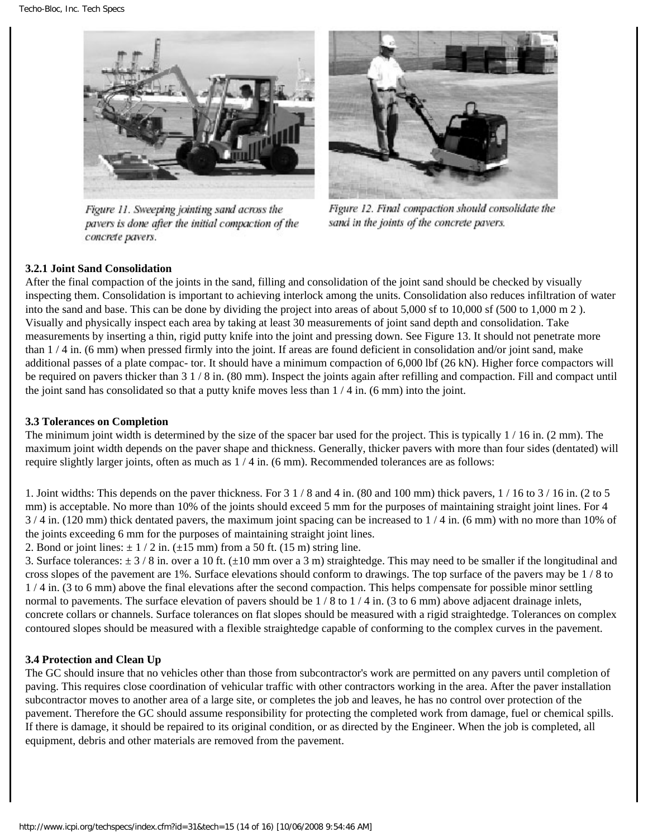

Figure 11. Sweeping jointing sand across the pavers is done after the initial compaction of the concrete pavers.



Figure 12. Final compaction should consolidate the sand in the joints of the concrete pavers.

# **3.2.1 Joint Sand Consolidation**

After the final compaction of the joints in the sand, filling and consolidation of the joint sand should be checked by visually inspecting them. Consolidation is important to achieving interlock among the units. Consolidation also reduces infiltration of water into the sand and base. This can be done by dividing the project into areas of about 5,000 sf to 10,000 sf (500 to 1,000 m 2 ). Visually and physically inspect each area by taking at least 30 measurements of joint sand depth and consolidation. Take measurements by inserting a thin, rigid putty knife into the joint and pressing down. See Figure 13. It should not penetrate more than 1 / 4 in. (6 mm) when pressed firmly into the joint. If areas are found deficient in consolidation and/or joint sand, make additional passes of a plate compac- tor. It should have a minimum compaction of 6,000 lbf (26 kN). Higher force compactors will be required on pavers thicker than 3 1 / 8 in. (80 mm). Inspect the joints again after refilling and compaction. Fill and compact until the joint sand has consolidated so that a putty knife moves less than 1 / 4 in. (6 mm) into the joint.

#### **3.3 Tolerances on Completion**

The minimum joint width is determined by the size of the spacer bar used for the project. This is typically  $1/16$  in. (2 mm). The maximum joint width depends on the paver shape and thickness. Generally, thicker pavers with more than four sides (dentated) will require slightly larger joints, often as much as 1 / 4 in. (6 mm). Recommended tolerances are as follows:

1. Joint widths: This depends on the paver thickness. For 3 1 / 8 and 4 in. (80 and 100 mm) thick pavers, 1 / 16 to 3 / 16 in. (2 to 5 mm) is acceptable. No more than 10% of the joints should exceed 5 mm for the purposes of maintaining straight joint lines. For 4  $3/4$  in. (120 mm) thick dentated pavers, the maximum joint spacing can be increased to  $1/4$  in. (6 mm) with no more than 10% of the joints exceeding 6 mm for the purposes of maintaining straight joint lines.

2. Bond or joint lines:  $\pm$  1 / 2 in. ( $\pm$ 15 mm) from a 50 ft. (15 m) string line.

3. Surface tolerances:  $\pm 3/8$  in. over a 10 ft. ( $\pm 10$  mm over a 3 m) straightedge. This may need to be smaller if the longitudinal and cross slopes of the pavement are 1%. Surface elevations should conform to drawings. The top surface of the pavers may be 1 / 8 to 1 / 4 in. (3 to 6 mm) above the final elevations after the second compaction. This helps compensate for possible minor settling normal to pavements. The surface elevation of pavers should be  $1/8$  to  $1/4$  in. (3 to 6 mm) above adjacent drainage inlets, concrete collars or channels. Surface tolerances on flat slopes should be measured with a rigid straightedge. Tolerances on complex contoured slopes should be measured with a flexible straightedge capable of conforming to the complex curves in the pavement.

#### **3.4 Protection and Clean Up**

The GC should insure that no vehicles other than those from subcontractor's work are permitted on any pavers until completion of paving. This requires close coordination of vehicular traffic with other contractors working in the area. After the paver installation subcontractor moves to another area of a large site, or completes the job and leaves, he has no control over protection of the pavement. Therefore the GC should assume responsibility for protecting the completed work from damage, fuel or chemical spills. If there is damage, it should be repaired to its original condition, or as directed by the Engineer. When the job is completed, all equipment, debris and other materials are removed from the pavement.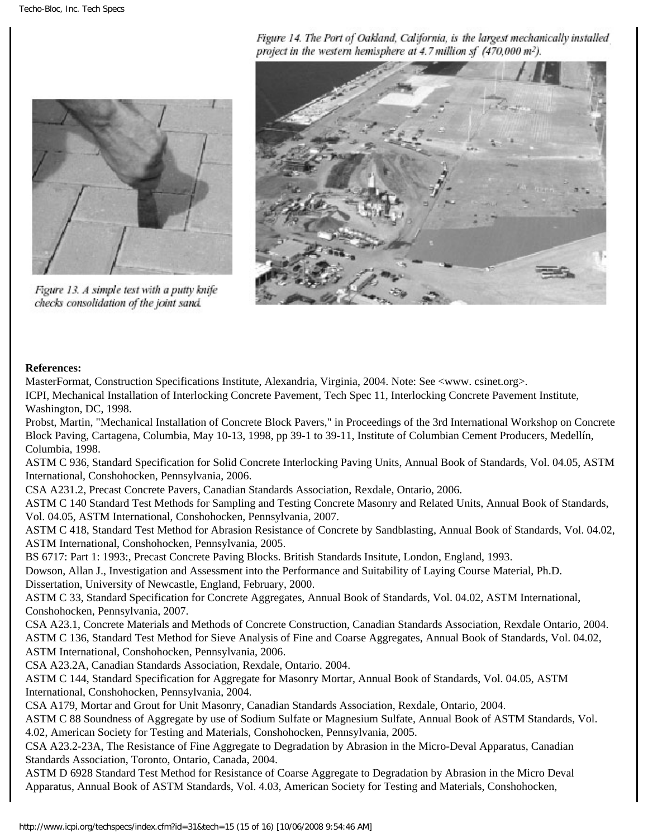Figure 14. The Port of Oakland, California, is the largest mechanically installed project in the western hemisphere at 4.7 million sf (470,000 m<sup>2</sup>).



Figure 13. A simple test with a putty knife checks consolidation of the joint sand.



#### **References:**

MasterFormat, Construction Specifications Institute, Alexandria, Virginia, 2004. Note: See <www. csinet.org>. ICPI, Mechanical Installation of Interlocking Concrete Pavement, Tech Spec 11, Interlocking Concrete Pavement Institute, Washington, DC, 1998.

Probst, Martin, "Mechanical Installation of Concrete Block Pavers," in Proceedings of the 3rd International Workshop on Concrete Block Paving, Cartagena, Columbia, May 10-13, 1998, pp 39-1 to 39-11, Institute of Columbian Cement Producers, Medellín, Columbia, 1998.

ASTM C 936, Standard Specification for Solid Concrete Interlocking Paving Units, Annual Book of Standards, Vol. 04.05, ASTM International, Conshohocken, Pennsylvania, 2006.

CSA A231.2, Precast Concrete Pavers, Canadian Standards Association, Rexdale, Ontario, 2006.

ASTM C 140 Standard Test Methods for Sampling and Testing Concrete Masonry and Related Units, Annual Book of Standards, Vol. 04.05, ASTM International, Conshohocken, Pennsylvania, 2007.

ASTM C 418, Standard Test Method for Abrasion Resistance of Concrete by Sandblasting, Annual Book of Standards, Vol. 04.02, ASTM International, Conshohocken, Pennsylvania, 2005.

BS 6717: Part 1: 1993:, Precast Concrete Paving Blocks. British Standards Insitute, London, England, 1993.

Dowson, Allan J., Investigation and Assessment into the Performance and Suitability of Laying Course Material, Ph.D. Dissertation, University of Newcastle, England, February, 2000.

ASTM C 33, Standard Specification for Concrete Aggregates, Annual Book of Standards, Vol. 04.02, ASTM International, Conshohocken, Pennsylvania, 2007.

CSA A23.1, Concrete Materials and Methods of Concrete Construction, Canadian Standards Association, Rexdale Ontario, 2004. ASTM C 136, Standard Test Method for Sieve Analysis of Fine and Coarse Aggregates, Annual Book of Standards, Vol. 04.02, ASTM International, Conshohocken, Pennsylvania, 2006.

CSA A23.2A, Canadian Standards Association, Rexdale, Ontario. 2004.

ASTM C 144, Standard Specification for Aggregate for Masonry Mortar, Annual Book of Standards, Vol. 04.05, ASTM International, Conshohocken, Pennsylvania, 2004.

CSA A179, Mortar and Grout for Unit Masonry, Canadian Standards Association, Rexdale, Ontario, 2004.

ASTM C 88 Soundness of Aggregate by use of Sodium Sulfate or Magnesium Sulfate, Annual Book of ASTM Standards, Vol. 4.02, American Society for Testing and Materials, Conshohocken, Pennsylvania, 2005.

CSA A23.2-23A, The Resistance of Fine Aggregate to Degradation by Abrasion in the Micro-Deval Apparatus, Canadian Standards Association, Toronto, Ontario, Canada, 2004.

ASTM D 6928 Standard Test Method for Resistance of Coarse Aggregate to Degradation by Abrasion in the Micro Deval Apparatus, Annual Book of ASTM Standards, Vol. 4.03, American Society for Testing and Materials, Conshohocken,